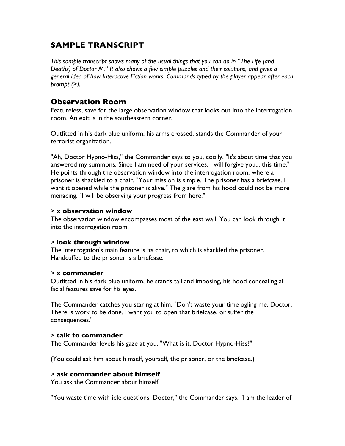# **SAMPLE TRANSCRIPT**

*This sample transcript shows many of the usual things that you can do in "The Life (and Deaths) of Doctor M." It also shows a few simple puzzles and their solutions, and gives a general idea of how Interactive Fiction works. Commands typed by the player appear after each prompt (>).*

# **Observation Room**

Featureless, save for the large observation window that looks out into the interrogation room. An exit is in the southeastern corner.

Outfitted in his dark blue uniform, his arms crossed, stands the Commander of your terrorist organization.

"Ah, Doctor Hypno-Hiss," the Commander says to you, coolly. "It's about time that you answered my summons. Since I am need of your services, I will forgive you... this time." He points through the observation window into the interrogation room, where a prisoner is shackled to a chair. "Your mission is simple. The prisoner has a briefcase. I want it opened while the prisoner is alive." The glare from his hood could not be more menacing. "I will be observing your progress from here."

# > **x observation window**

The observation window encompasses most of the east wall. You can look through it into the interrogation room.

# > **look through window**

The interrogation's main feature is its chair, to which is shackled the prisoner. Handcuffed to the prisoner is a briefcase.

# > **x commander**

Outfitted in his dark blue uniform, he stands tall and imposing, his hood concealing all facial features save for his eyes.

The Commander catches you staring at him. "Don't waste your time ogling me, Doctor. There is work to be done. I want you to open that briefcase, or suffer the consequences."

# > **talk to commander**

The Commander levels his gaze at you. "What is it, Doctor Hypno-Hiss?"

(You could ask him about himself, yourself, the prisoner, or the briefcase.)

# > **ask commander about himself**

You ask the Commander about himself.

"You waste time with idle questions, Doctor," the Commander says. "I am the leader of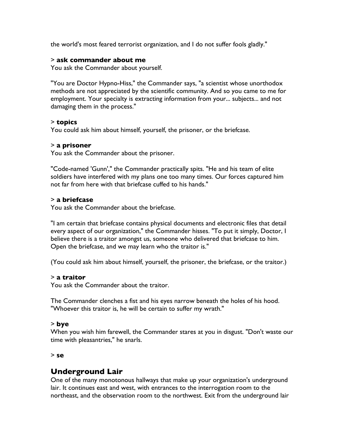the world's most feared terrorist organization, and I do not suffer fools gladly."

# > **ask commander about me**

You ask the Commander about yourself.

"You are Doctor Hypno-Hiss," the Commander says, "a scientist whose unorthodox methods are not appreciated by the scientific community. And so you came to me for employment. Your specialty is extracting information from your... subjects... and not damaging them in the process."

# > **topics**

You could ask him about himself, yourself, the prisoner, or the briefcase.

# > **a prisoner**

You ask the Commander about the prisoner.

"Code-named 'Gunn'," the Commander practically spits. "He and his team of elite soldiers have interfered with my plans one too many times. Our forces captured him not far from here with that briefcase cuffed to his hands."

# > **a briefcase**

You ask the Commander about the briefcase.

"I am certain that briefcase contains physical documents and electronic files that detail every aspect of our organization," the Commander hisses. "To put it simply, Doctor, I believe there is a traitor amongst us, someone who delivered that briefcase to him. Open the briefcase, and we may learn who the traitor is."

(You could ask him about himself, yourself, the prisoner, the briefcase, or the traitor.)

# > **a traitor**

You ask the Commander about the traitor.

The Commander clenches a fist and his eyes narrow beneath the holes of his hood. "Whoever this traitor is, he will be certain to suffer my wrath."

# > **bye**

When you wish him farewell, the Commander stares at you in disgust. "Don't waste our time with pleasantries," he snarls.

# > **se**

# **Underground Lair**

One of the many monotonous hallways that make up your organization's underground lair. It continues east and west, with entrances to the interrogation room to the northeast, and the observation room to the northwest. Exit from the underground lair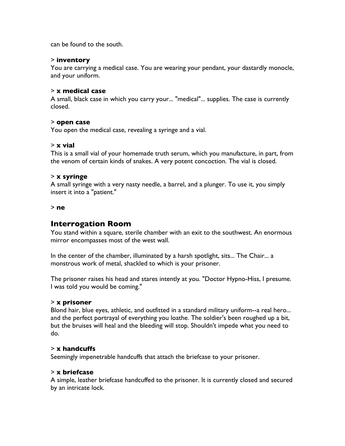can be found to the south.

# > **inventory**

You are carrying a medical case. You are wearing your pendant, your dastardly monocle, and your uniform.

## > **x medical case**

A small, black case in which you carry your... "medical"... supplies. The case is currently closed.

#### > **open case**

You open the medical case, revealing a syringe and a vial.

#### > **x vial**

This is a small vial of your homemade truth serum, which you manufacture, in part, from the venom of certain kinds of snakes. A very potent concoction. The vial is closed.

# > **x syringe**

A small syringe with a very nasty needle, a barrel, and a plunger. To use it, you simply insert it into a "patient."

> **ne**

# **Interrogation Room**

You stand within a square, sterile chamber with an exit to the southwest. An enormous mirror encompasses most of the west wall.

In the center of the chamber, illuminated by a harsh spotlight, sits... The Chair... a monstrous work of metal, shackled to which is your prisoner.

The prisoner raises his head and stares intently at you. "Doctor Hypno-Hiss, I presume. I was told you would be coming."

#### > **x prisoner**

Blond hair, blue eyes, athletic, and outfitted in a standard military uniform--a real hero... and the perfect portrayal of everything you loathe. The soldier's been roughed up a bit, but the bruises will heal and the bleeding will stop. Shouldn't impede what you need to do.

# > **x handcuffs**

Seemingly impenetrable handcuffs that attach the briefcase to your prisoner.

#### > **x briefcase**

A simple, leather briefcase handcuffed to the prisoner. It is currently closed and secured by an intricate lock.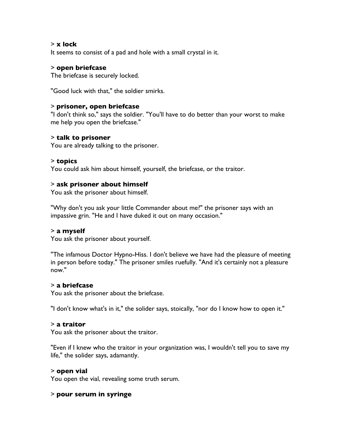# > **x lock**

It seems to consist of a pad and hole with a small crystal in it.

#### > **open briefcase**

The briefcase is securely locked.

"Good luck with that," the soldier smirks.

## > **prisoner, open briefcase**

"I don't think so," says the soldier. "You'll have to do better than your worst to make me help you open the briefcase."

# > **talk to prisoner**

You are already talking to the prisoner.

#### > **topics**

You could ask him about himself, yourself, the briefcase, or the traitor.

#### > **ask prisoner about himself**

You ask the prisoner about himself.

"Why don't you ask your little Commander about me?" the prisoner says with an impassive grin. "He and I have duked it out on many occasion."

# > **a myself**

You ask the prisoner about yourself.

"The infamous Doctor Hypno-Hiss. I don't believe we have had the pleasure of meeting in person before today." The prisoner smiles ruefully. "And it's certainly not a pleasure now."

## > **a briefcase**

You ask the prisoner about the briefcase.

"I don't know what's in it," the solider says, stoically, "nor do I know how to open it."

#### > **a traitor**

You ask the prisoner about the traitor.

"Even if I knew who the traitor in your organization was, I wouldn't tell you to save my life," the solider says, adamantly.

#### > **open vial**

You open the vial, revealing some truth serum.

# > **pour serum in syringe**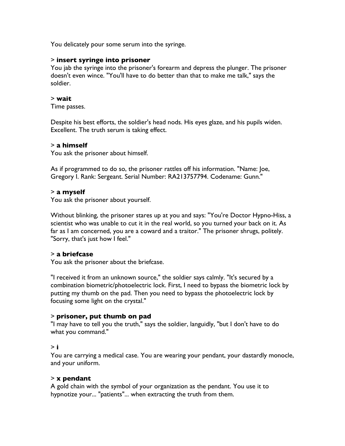You delicately pour some serum into the syringe.

# > **insert syringe into prisoner**

You jab the syringe into the prisoner's forearm and depress the plunger. The prisoner doesn't even wince. "You'll have to do better than that to make me talk," says the soldier.

## > **wait**

Time passes.

Despite his best efforts, the soldier's head nods. His eyes glaze, and his pupils widen. Excellent. The truth serum is taking effect.

# > **a himself**

You ask the prisoner about himself.

As if programmed to do so, the prisoner rattles off his information. "Name: Joe, Gregory I. Rank: Sergeant. Serial Number: RA213757794. Codename: Gunn."

# > **a myself**

You ask the prisoner about yourself.

Without blinking, the prisoner stares up at you and says: "You're Doctor Hypno-Hiss, a scientist who was unable to cut it in the real world, so you turned your back on it. As far as I am concerned, you are a coward and a traitor." The prisoner shrugs, politely. "Sorry, that's just how I feel."

# > **a briefcase**

You ask the prisoner about the briefcase.

"I received it from an unknown source," the soldier says calmly. "It's secured by a combination biometric/photoelectric lock. First, I need to bypass the biometric lock by putting my thumb on the pad. Then you need to bypass the photoelectric lock by focusing some light on the crystal."

# > **prisoner, put thumb on pad**

"I may have to tell you the truth," says the soldier, languidly, "but I don't have to do what you command."

# > **i**

You are carrying a medical case. You are wearing your pendant, your dastardly monocle, and your uniform.

#### > **x pendant**

A gold chain with the symbol of your organization as the pendant. You use it to hypnotize your... "patients"... when extracting the truth from them.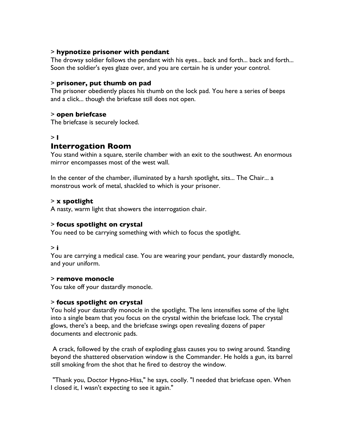# > **hypnotize prisoner with pendant**

The drowsy soldier follows the pendant with his eyes... back and forth... back and forth... Soon the soldier's eyes glaze over, and you are certain he is under your control.

# > **prisoner, put thumb on pad**

The prisoner obediently places his thumb on the lock pad. You here a series of beeps and a click... though the briefcase still does not open.

# > **open briefcase**

The briefcase is securely locked.

# > **l**

# **Interrogation Room**

You stand within a square, sterile chamber with an exit to the southwest. An enormous mirror encompasses most of the west wall.

In the center of the chamber, illuminated by a harsh spotlight, sits... The Chair... a monstrous work of metal, shackled to which is your prisoner.

# > **x spotlight**

A nasty, warm light that showers the interrogation chair.

# > **focus spotlight on crystal**

You need to be carrying something with which to focus the spotlight.

# > **i**

You are carrying a medical case. You are wearing your pendant, your dastardly monocle, and your uniform.

# > **remove monocle**

You take off your dastardly monocle.

# > **focus spotlight on crystal**

You hold your dastardly monocle in the spotlight. The lens intensifies some of the light into a single beam that you focus on the crystal within the briefcase lock. The crystal glows, there's a beep, and the briefcase swings open revealing dozens of paper documents and electronic pads.

A crack, followed by the crash of exploding glass causes you to swing around. Standing beyond the shattered observation window is the Commander. He holds a gun, its barrel still smoking from the shot that he fired to destroy the window.

"Thank you, Doctor Hypno-Hiss," he says, coolly. "I needed that briefcase open. When I closed it, I wasn't expecting to see it again."